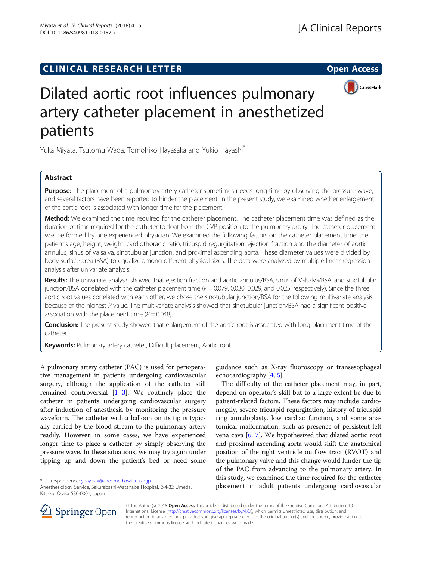## **CLINICAL RESEARCH LETTER** Open Access



# Dilated aortic root influences pulmonary artery catheter placement in anesthetized patients

Yuka Miyata, Tsutomu Wada, Tomohiko Hayasaka and Yukio Hayashi\*

### Abstract

**Purpose:** The placement of a pulmonary artery catheter sometimes needs long time by observing the pressure wave, and several factors have been reported to hinder the placement. In the present study, we examined whether enlargement of the aortic root is associated with longer time for the placement.

Method: We examined the time required for the catheter placement. The catheter placement time was defined as the duration of time required for the catheter to float from the CVP position to the pulmonary artery. The catheter placement was performed by one experienced physician. We examined the following factors on the catheter placement time: the patient's age, height, weight, cardiothoracic ratio, tricuspid regurgitation, ejection fraction and the diameter of aortic annulus, sinus of Valsalva, sinotubular junction, and proximal ascending aorta. These diameter values were divided by body surface area (BSA) to equalize among different physical sizes. The data were analyzed by multiple linear regression analysis after univariate analysis.

Results: The univariate analysis showed that ejection fraction and aortic annulus/BSA, sinus of Valsalva/BSA, and sinotubular junction/BSA correlated with the catheter placement time  $(P = 0.079, 0.030, 0.029,$  and 0.025, respectively). Since the three aortic root values correlated with each other, we chose the sinotubular junction/BSA for the following multivariate analysis, because of the highest P value. The multivariate analysis showed that sinotubular junction/BSA had a significant positive association with the placement time ( $P = 0.048$ ).

Conclusion: The present study showed that enlargement of the aortic root is associated with long placement time of the catheter.

**Keywords:** Pulmonary artery catheter, Difficult placement, Aortic root

A pulmonary artery catheter (PAC) is used for perioperative management in patients undergoing cardiovascular surgery, although the application of the catheter still remained controversial  $[1-3]$  $[1-3]$  $[1-3]$  $[1-3]$ . We routinely place the catheter in patients undergoing cardiovascular surgery after induction of anesthesia by monitoring the pressure waveform. The catheter with a balloon on its tip is typically carried by the blood stream to the pulmonary artery readily. However, in some cases, we have experienced longer time to place a catheter by simply observing the pressure wave. In these situations, we may try again under tipping up and down the patient's bed or need some

guidance such as X-ray fluoroscopy or transesophageal echocardiography [\[4](#page-3-0), [5\]](#page-3-0).

The difficulty of the catheter placement may, in part, depend on operator's skill but to a large extent be due to patient-related factors. These factors may include cardiomegaly, severe tricuspid regurgitation, history of tricuspid ring annuloplasty, low cardiac function, and some anatomical malformation, such as presence of persistent left vena cava [\[6,](#page-3-0) [7](#page-3-0)]. We hypothesized that dilated aortic root and proximal ascending aorta would shift the anatomical position of the right ventricle outflow tract (RVOT) and the pulmonary valve and this change would hinder the tip of the PAC from advancing to the pulmonary artery. In this study, we examined the time required for the catheter placement in adult patients undergoing cardiovascular \* Correspondence: [yhayashi@anes.med.osaka-u.ac.jp](mailto:yhayashi@anes.med.osaka-u.ac.jp)



© The Author(s). 2018 Open Access This article is distributed under the terms of the Creative Commons Attribution 4.0 International License ([http://creativecommons.org/licenses/by/4.0/\)](http://creativecommons.org/licenses/by/4.0/), which permits unrestricted use, distribution, and reproduction in any medium, provided you give appropriate credit to the original author(s) and the source, provide a link to the Creative Commons license, and indicate if changes were made.

Anesthesiology Service, Sakurabashi-Watanabe Hospital, 2-4-32 Umeda, Kita-ku, Osaka 530-0001, Japan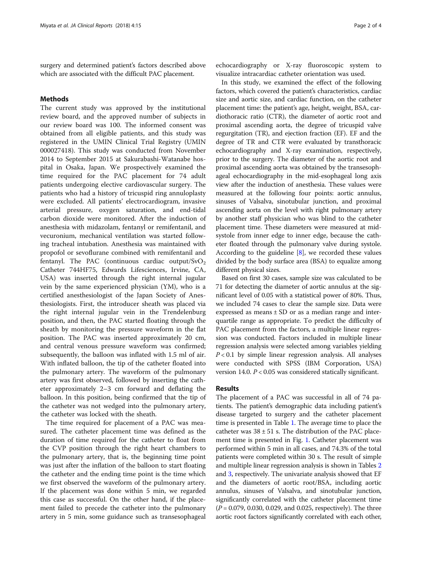surgery and determined patient's factors described above which are associated with the difficult PAC placement.

#### Methods

The current study was approved by the institutional review board, and the approved number of subjects in our review board was 100. The informed consent was obtained from all eligible patients, and this study was registered in the UMIN Clinical Trial Registry (UMIN 000027418). This study was conducted from November 2014 to September 2015 at Sakurabashi-Watanabe hospital in Osaka, Japan. We prospectively examined the time required for the PAC placement for 74 adult patients undergoing elective cardiovascular surgery. The patients who had a history of tricuspid ring annuloplasty were excluded. All patients' electrocardiogram, invasive arterial pressure, oxygen saturation, and end-tidal carbon dioxide were monitored. After the induction of anesthesia with midazolam, fentanyl or remifentanil, and vecuronium, mechanical ventilation was started following tracheal intubation. Anesthesia was maintained with propofol or sevoflurane combined with remifentanil and fentanyl. The PAC (continuous cardiac output/ $SvO<sub>2</sub>$ Catheter 744HF75, Edwards Lifesciences, Irvine, CA, USA) was inserted through the right internal jugular vein by the same experienced physician (YM), who is a certified anesthesiologist of the Japan Society of Anesthesiologists. First, the introducer sheath was placed via the right internal jugular vein in the Trendelenburg position, and then, the PAC started floating through the sheath by monitoring the pressure waveform in the flat position. The PAC was inserted approximately 20 cm, and central venous pressure waveform was confirmed; subsequently, the balloon was inflated with 1.5 ml of air. With inflated balloon, the tip of the catheter floated into the pulmonary artery. The waveform of the pulmonary artery was first observed, followed by inserting the catheter approximately 2–3 cm forward and deflating the balloon. In this position, being confirmed that the tip of the catheter was not wedged into the pulmonary artery, the catheter was locked with the sheath.

The time required for placement of a PAC was measured. The catheter placement time was defined as the duration of time required for the catheter to float from the CVP position through the right heart chambers to the pulmonary artery, that is, the beginning time point was just after the inflation of the balloon to start floating the catheter and the ending time point is the time which we first observed the waveform of the pulmonary artery. If the placement was done within 5 min, we regarded this case as successful. On the other hand, if the placement failed to precede the catheter into the pulmonary artery in 5 min, some guidance such as transesophageal

echocardiography or X-ray fluoroscopic system to visualize intracardiac catheter orientation was used.

In this study, we examined the effect of the following factors, which covered the patient's characteristics, cardiac size and aortic size, and cardiac function, on the catheter placement time: the patient's age, height, weight, BSA, cardiothoracic ratio (CTR), the diameter of aortic root and proximal ascending aorta, the degree of tricuspid valve regurgitation (TR), and ejection fraction (EF). EF and the degree of TR and CTR were evaluated by transthoracic echocardiography and X-ray examination, respectively, prior to the surgery. The diameter of the aortic root and proximal ascending aorta was obtained by the transesophageal echocardiography in the mid-esophageal long axis view after the induction of anesthesia. These values were measured at the following four points: aortic annulus, sinuses of Valsalva, sinotubular junction, and proximal ascending aorta on the level with right pulmonary artery by another staff physician who was blind to the catheter placement time. These diameters were measured at midsystole from inner edge to inner edge, because the catheter floated through the pulmonary valve during systole. According to the guideline  $[8]$  $[8]$  $[8]$ , we recorded these values divided by the body surface area (BSA) to equalize among different physical sizes.

Based on first 30 cases, sample size was calculated to be 71 for detecting the diameter of aortic annulus at the significant level of 0.05 with a statistical power of 80%. Thus, we included 74 cases to clear the sample size. Data were expressed as means  $\pm$  SD or as a median range and interquartile range as appropriate. To predict the difficulty of PAC placement from the factors, a multiple linear regression was conducted. Factors included in multiple linear regression analysis were selected among variables yielding  $P < 0.1$  by simple linear regression analysis. All analyses were conducted with SPSS (IBM Corporation, USA) version 14.0. P < 0.05 was considered statically significant.

#### Results

The placement of a PAC was successful in all of 74 patients. The patient's demographic data including patient's disease targeted to surgery and the catheter placement time is presented in Table [1](#page-2-0). The average time to place the catheter was  $38 \pm 51$  s. The distribution of the PAC placement time is presented in Fig. [1.](#page-2-0) Catheter placement was performed within 5 min in all cases, and 74.3% of the total patients were completed within 30 s. The result of simple and multiple linear regression analysis is shown in Tables [2](#page-2-0) and [3,](#page-2-0) respectively. The univariate analysis showed that EF and the diameters of aortic root/BSA, including aortic annulus, sinuses of Valsalva, and sinotubular junction, significantly correlated with the catheter placement time  $(P = 0.079, 0.030, 0.029, \text{ and } 0.025, \text{ respectively}.$  The three aortic root factors significantly correlated with each other,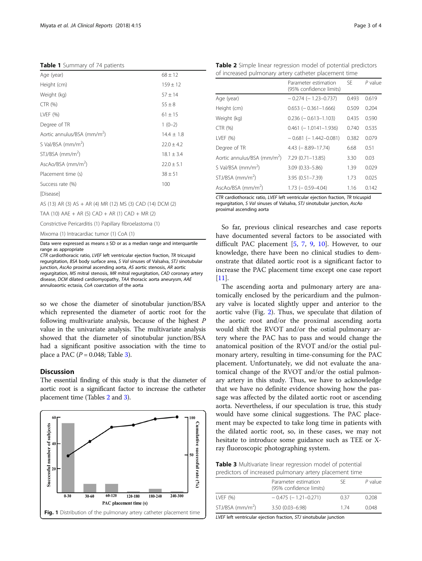#### <span id="page-2-0"></span>Table 1 Summary of 74 patients

| Age (year)                                                                                                                                                             | $68 \pm 12$    |
|------------------------------------------------------------------------------------------------------------------------------------------------------------------------|----------------|
| Height (cm)                                                                                                                                                            | $159 \pm 12$   |
| Weight (kg)                                                                                                                                                            | $57 + 14$      |
| CTR (%)                                                                                                                                                                | $55 \pm 8$     |
| LVEF $(% )$                                                                                                                                                            | $61 \pm 15$    |
| Degree of TR                                                                                                                                                           | $1(0-2)$       |
| Aortic annulus/BSA (mm/m <sup>2</sup> )                                                                                                                                | $14.4 \pm 1.8$ |
| S Val/BSA (mm/m <sup>2</sup> )                                                                                                                                         | $22.0 \pm 4.2$ |
| $STJ/BSA$ (mm/m <sup>2</sup> )                                                                                                                                         | $18.1 \pm 3.4$ |
| AscAo/BSA $\text{ (mm/m}^2\text{)}$                                                                                                                                    | $22.0 \pm 5.1$ |
| Placement time (s)                                                                                                                                                     | $38 + 51$      |
| Success rate (%)                                                                                                                                                       | 100            |
| [Disease]                                                                                                                                                              |                |
| $\overline{10}$ (19) $\overline{10}$ (9) $\overline{10}$ (19) $\overline{10}$ (19) $\overline{110}$ (19) $\overline{10}$ (2) $\overline{10}$ (11) $\overline{10}$ (11) |                |

AS (13) AR (3) AS + AR (4) MR (12) MS (3) CAD (14) DCM (2)

TAA (10) AAE + AR (5) CAD + AR (1) CAD + MR (2)

Constrictive Pericarditis (1) Papillary fibroelastoma (1)

Mixoma (1) Intracardiac tumor (1) CoA (1)

Data were expressed as means  $\pm$  SD or as a median range and interquartile range as appropriate

CTR cardiothoracic ratio, LVEF left ventricular ejection fraction, TR tricuspid regurgitation, BSA body surface area, S Val sinuses of Valsalva, STJ sinotubular junction, AscAo proximal ascending aorta, AS aortic stenosis, AR aortic regurgitation, MS mitral stenosis, MR mitral regurgitation, CAD coronary artery disease, DCM dilated cardiomyopathy, TAA thoracic aorta aneurysm, AAE annuloaortic ectasia, CoA coarctation of the aorta

so we chose the diameter of sinotubular junction/BSA which represented the diameter of aortic root for the following multivariate analysis, because of the highest P value in the univariate analysis. The multivariate analysis showed that the diameter of sinotubular junction/BSA had a significant positive association with the time to place a PAC  $(P = 0.048;$  Table 3).

#### **Discussion**

The essential finding of this study is that the diameter of aortic root is a significant factor to increase the catheter placement time (Tables 2 and 3).



Table 2 Simple linear regression model of potential predictors of increased pulmonary artery catheter placement time

|                                         | Parameter estimation<br>(95% confidence limits) | <b>SE</b> | $P$ value |
|-----------------------------------------|-------------------------------------------------|-----------|-----------|
| Age (year)                              | $-0.274$ ( $-1.23 - 0.737$ )                    | 0.493     | 0.619     |
| Height (cm)                             | $0.653$ ( $-0.361 - 1.666$ )                    | 0.509     | 0.204     |
| Weight (kg)                             | $0.236$ ( $-0.613 - 1.103$ )                    | 0.435     | 0.590     |
| CTR (%)                                 | $0.461$ (-1.0141-1.936)                         | 0.740     | 0.535     |
| LVEF (%)                                | $-0.681$ ( $-1.442 - 0.081$ )                   | 0.382     | 0.079     |
| Degree of TR                            | $4.43$ ( $-8.89 - 17.74$ )                      | 6.68      | 0.51      |
| Aortic annulus/BSA (mm/m <sup>2</sup> ) | 7.29 (0.71-13.85)                               | 3.30      | 0.03      |
| S Val/BSA ( $mm/m2$ )                   | $3.09(0.33 - 5.86)$                             | 1.39      | 0.029     |
| $STJ/BSA$ (mm/m <sup>2</sup> )          | 3.95 (0.51-7.39)                                | 1.73      | 0.025     |
| AscAo/BSA $\rm (mm/m^2)$                | $1.73 (-0.59 - 4.04)$                           | 1.16      | 0.142     |
|                                         |                                                 |           |           |

CTR cardiothoracic ratio, LVEF left ventricular ejection fraction, TR tricuspid regurgitation, S Val sinuses of Valsalva, STJ sinotubular junction, AscAo proximal ascending aorta

So far, previous clinical researches and case reports have documented several factors to be associated with difficult PAC placement [[5,](#page-3-0) [7,](#page-3-0) [9](#page-3-0), [10\]](#page-3-0). However, to our knowledge, there have been no clinical studies to demonstrate that dilated aortic root is a significant factor to increase the PAC placement time except one case report [[11\]](#page-3-0).

The ascending aorta and pulmonary artery are anatomically enclosed by the pericardium and the pulmonary valve is located slightly upper and anterior to the aortic valve (Fig. [2\)](#page-3-0). Thus, we speculate that dilation of the aortic root and/or the proximal ascending aorta would shift the RVOT and/or the ostial pulmonary artery where the PAC has to pass and would change the anatomical position of the RVOT and/or the ostial pulmonary artery, resulting in time-consuming for the PAC placement. Unfortunately, we did not evaluate the anatomical change of the RVOT and/or the ostial pulmonary artery in this study. Thus, we have to acknowledge that we have no definite evidence showing how the passage was affected by the dilated aortic root or ascending aorta. Nevertheless, if our speculation is true, this study would have some clinical suggestions. The PAC placement may be expected to take long time in patients with the dilated aortic root, so, in these cases, we may not hesitate to introduce some guidance such as TEE or Xray fluoroscopic photographing system.

Table 3 Multivariate linear regression model of potential predictors of increased pulmonary artery placement time

|                                | Parameter estimation<br>(95% confidence limits) | SF   | P value |  |
|--------------------------------|-------------------------------------------------|------|---------|--|
| $LVEF$ $(%)$                   | $-0.475$ ( $-1.21 - 0.271$ )                    | 0.37 | 0.208   |  |
| $STJ/BSA$ (mm/m <sup>2</sup> ) | $3.50(0.03 - 6.98)$                             | 1 74 | 0.048   |  |

LVEF left ventricular ejection fraction, STJ sinotubular junction